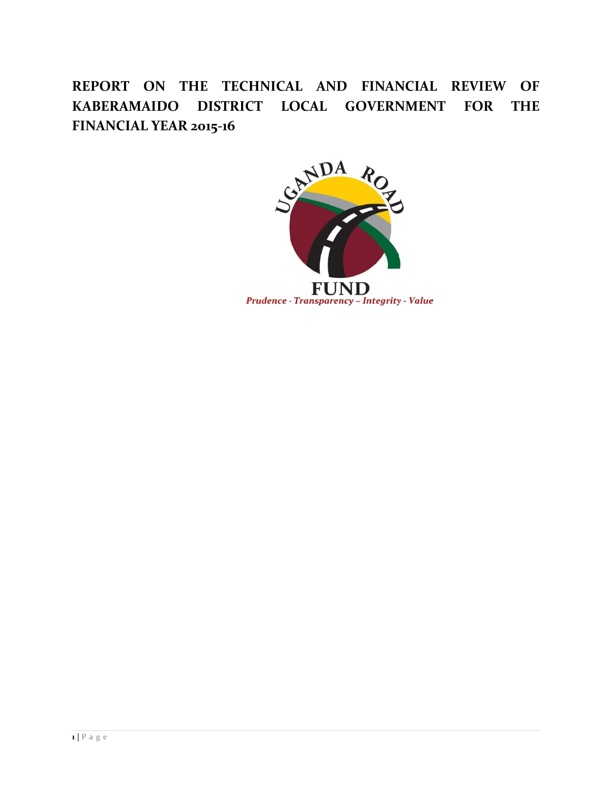**REPORT ON THE TECHNICAL AND FINANCIAL REVIEW OF KABERAMAIDO DISTRICT LOCAL GOVERNMENT FOR THE FINANCIAL YEAR 2015-16**

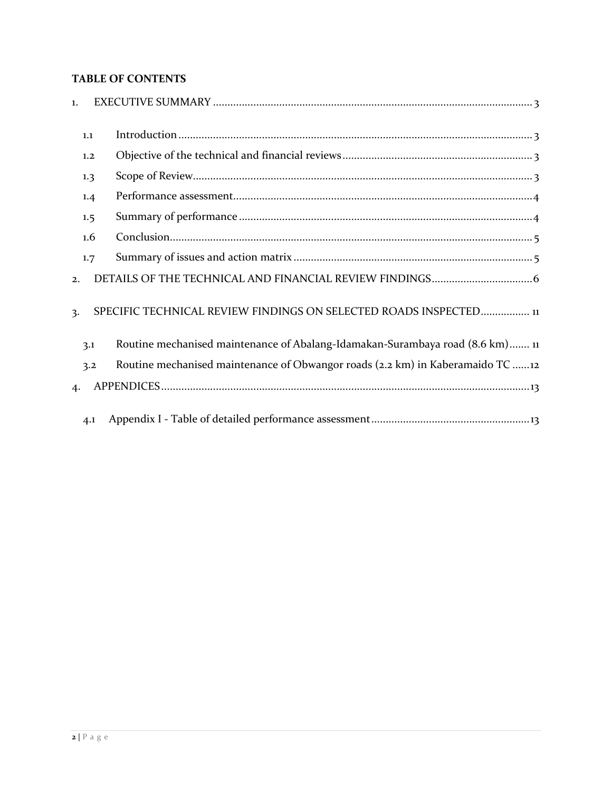# **TABLE OF CONTENTS**

| $\mathbf{1}$ . |     |                                                                                |
|----------------|-----|--------------------------------------------------------------------------------|
|                | 1.1 |                                                                                |
|                | 1.2 |                                                                                |
|                | 1.3 |                                                                                |
|                | 1.4 |                                                                                |
|                | 1.5 |                                                                                |
|                | 1.6 |                                                                                |
|                | 1.7 |                                                                                |
| 2.             |     |                                                                                |
| $\mathbf{3}$   |     | SPECIFIC TECHNICAL REVIEW FINDINGS ON SELECTED ROADS INSPECTED 11              |
|                | 3.1 | Routine mechanised maintenance of Abalang-Idamakan-Surambaya road (8.6 km) 11  |
|                | 3.2 | Routine mechanised maintenance of Obwangor roads (2.2 km) in Kaberamaido TC 12 |
| $\mathbf{4}$   |     |                                                                                |
|                | 4.1 |                                                                                |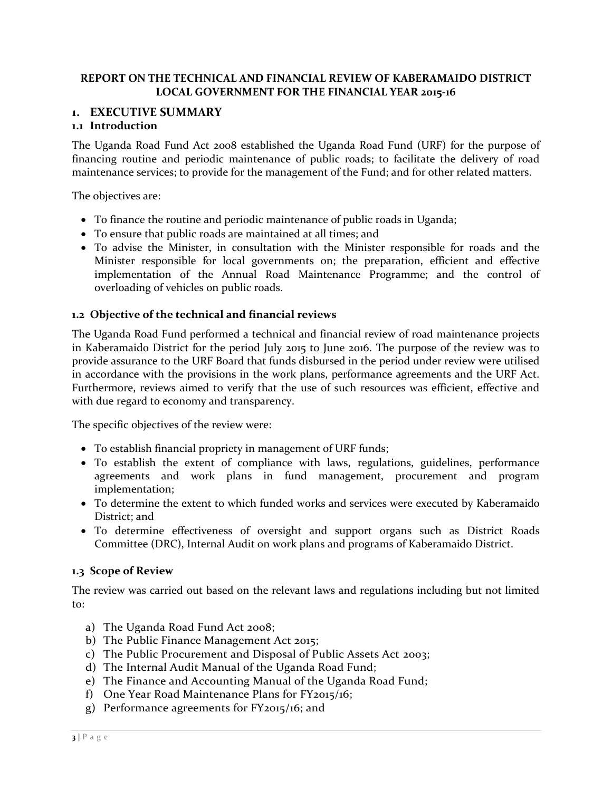## **REPORT ON THE TECHNICAL AND FINANCIAL REVIEW OF KABERAMAIDO DISTRICT LOCAL GOVERNMENT FOR THE FINANCIAL YEAR 2015-16**

## <span id="page-2-0"></span>**1. EXECUTIVE SUMMARY**

## <span id="page-2-1"></span>**1.1 Introduction**

The Uganda Road Fund Act 2008 established the Uganda Road Fund (URF) for the purpose of financing routine and periodic maintenance of public roads; to facilitate the delivery of road maintenance services; to provide for the management of the Fund; and for other related matters.

The objectives are:

- To finance the routine and periodic maintenance of public roads in Uganda;
- To ensure that public roads are maintained at all times; and
- To advise the Minister, in consultation with the Minister responsible for roads and the Minister responsible for local governments on; the preparation, efficient and effective implementation of the Annual Road Maintenance Programme; and the control of overloading of vehicles on public roads.

#### <span id="page-2-2"></span>**1.2 Objective of the technical and financial reviews**

The Uganda Road Fund performed a technical and financial review of road maintenance projects in Kaberamaido District for the period July 2015 to June 2016. The purpose of the review was to provide assurance to the URF Board that funds disbursed in the period under review were utilised in accordance with the provisions in the work plans, performance agreements and the URF Act. Furthermore, reviews aimed to verify that the use of such resources was efficient, effective and with due regard to economy and transparency.

The specific objectives of the review were:

- To establish financial propriety in management of URF funds;
- To establish the extent of compliance with laws, regulations, guidelines, performance agreements and work plans in fund management, procurement and program implementation;
- To determine the extent to which funded works and services were executed by Kaberamaido District; and
- To determine effectiveness of oversight and support organs such as District Roads Committee (DRC), Internal Audit on work plans and programs of Kaberamaido District.

## <span id="page-2-3"></span>**1.3 Scope of Review**

The review was carried out based on the relevant laws and regulations including but not limited to:

- a) The Uganda Road Fund Act 2008;
- b) The Public Finance Management Act 2015;
- c) The Public Procurement and Disposal of Public Assets Act 2003;
- d) The Internal Audit Manual of the Uganda Road Fund;
- e) The Finance and Accounting Manual of the Uganda Road Fund;
- f) One Year Road Maintenance Plans for FY2015/16;
- g) Performance agreements for FY2015/16; and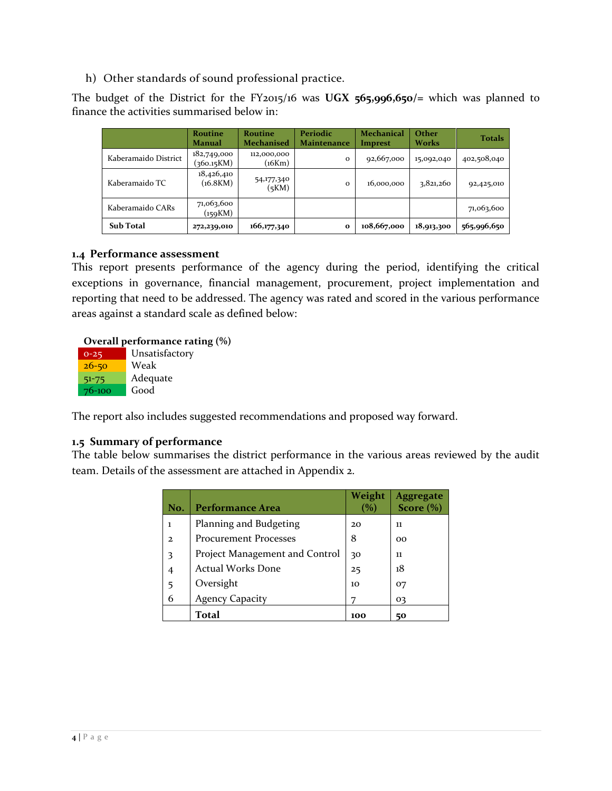h) Other standards of sound professional practice.

The budget of the District for the FY2015/16 was **UGX 565,996,650/=** which was planned to finance the activities summarised below in:

|                      | <b>Routine</b><br><b>Manual</b> | <b>Routine</b><br><b>Mechanised</b> | Periodic<br>Maintenance | <b>Mechanical</b><br>Imprest | <b>Other</b><br>Works | <b>Totals</b> |
|----------------------|---------------------------------|-------------------------------------|-------------------------|------------------------------|-----------------------|---------------|
| Kaberamaido District | 182,749,000<br>(360.15KM)       | 112,000,000<br>(16Km)               | $\Omega$                | 92,667,000                   | 15,092,040            | 402,508,040   |
| Kaberamaido TC       | 18,426,410<br>(16.8KM)          | 54,177,340<br>(5KM)                 | $\Omega$                | 16,000,000                   | 3,821,260             | 92,425,010    |
| Kaberamaido CARs     | 71,063,600<br>(159KM)           |                                     |                         |                              |                       | 71,063,600    |
| <b>Sub Total</b>     | 272,239,010                     | 166,177,340                         | $\bf{o}$                | 108,667,000                  | 18,913,300            | 565,996,650   |

## <span id="page-3-0"></span>**1.4 Performance assessment**

This report presents performance of the agency during the period, identifying the critical exceptions in governance, financial management, procurement, project implementation and reporting that need to be addressed. The agency was rated and scored in the various performance areas against a standard scale as defined below:

#### **Overall performance rating (%)**

| Unsatisfactory |
|----------------|
| Weak           |
| Adequate       |
| Good           |
|                |

The report also includes suggested recommendations and proposed way forward.

## <span id="page-3-1"></span>**1.5 Summary of performance**

The table below summarises the district performance in the various areas reviewed by the audit team. Details of the assessment are attached in Appendix 2.

|                |                                | Weight | <b>Aggregate</b> |
|----------------|--------------------------------|--------|------------------|
| No.            | <b>Performance Area</b>        |        | Score $(\%)$     |
| ı              | Planning and Budgeting         | 20     | 11               |
| $\mathcal{D}$  | <b>Procurement Processes</b>   | 8      | 00               |
| 3              | Project Management and Control | 30     | 11               |
| $\overline{4}$ | <b>Actual Works Done</b>       | 25     | 18               |
| 5              | Oversight                      | 10     | 07               |
| 6              | <b>Agency Capacity</b>         |        | 03               |
|                | Total                          | 100    | 50               |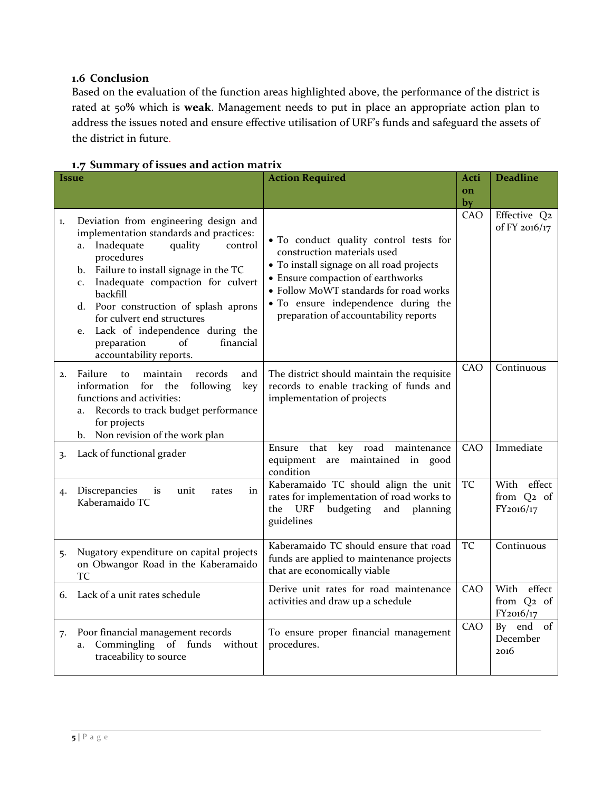## <span id="page-4-0"></span>**1.6 Conclusion**

Based on the evaluation of the function areas highlighted above, the performance of the district is rated at 50**%** which is **weak**. Management needs to put in place an appropriate action plan to address the issues noted and ensure effective utilisation of URF's funds and safeguard the assets of the district in future.

| <i><u><b>Issue</b></u></i> |                                                                                                                                                                                                                                                                                                                                                                                                                                        | <b>Action Required</b>                                                                                                                                                                                                                                                            |           | <b>Deadline</b>                                    |
|----------------------------|----------------------------------------------------------------------------------------------------------------------------------------------------------------------------------------------------------------------------------------------------------------------------------------------------------------------------------------------------------------------------------------------------------------------------------------|-----------------------------------------------------------------------------------------------------------------------------------------------------------------------------------------------------------------------------------------------------------------------------------|-----------|----------------------------------------------------|
|                            |                                                                                                                                                                                                                                                                                                                                                                                                                                        |                                                                                                                                                                                                                                                                                   | on<br>by  |                                                    |
| 1.                         | Deviation from engineering design and<br>implementation standards and practices:<br>Inadequate<br>quality<br>control<br>a.<br>procedures<br>Failure to install signage in the TC<br>b.<br>Inadequate compaction for culvert<br>C <sub>1</sub><br>backfill<br>d. Poor construction of splash aprons<br>for culvert end structures<br>Lack of independence during the<br>e.<br>of<br>financial<br>preparation<br>accountability reports. | · To conduct quality control tests for<br>construction materials used<br>· To install signage on all road projects<br>• Ensure compaction of earthworks<br>• Follow MoWT standards for road works<br>• To ensure independence during the<br>preparation of accountability reports | CAO       | Effective Q2<br>of FY 2016/17                      |
| 2.                         | Failure<br>maintain<br>records<br>to<br>and<br>information<br>for<br>the<br>following<br>key<br>functions and activities:<br>Records to track budget performance<br>a.<br>for projects<br>Non revision of the work plan<br>b.                                                                                                                                                                                                          | The district should maintain the requisite<br>records to enable tracking of funds and<br>implementation of projects                                                                                                                                                               | CAO       | Continuous                                         |
| 3.                         | Lack of functional grader                                                                                                                                                                                                                                                                                                                                                                                                              | Ensure that key road maintenance<br>equipment<br>are maintained in<br>good<br>condition                                                                                                                                                                                           | CAO       | Immediate                                          |
| 4.                         | Discrepancies<br>unit<br>is<br>rates<br>in<br>Kaberamaido TC                                                                                                                                                                                                                                                                                                                                                                           | Kaberamaido TC should align the unit<br>rates for implementation of road works to<br><b>URF</b><br>budgeting<br>the<br>and<br>planning<br>guidelines                                                                                                                              | <b>TC</b> | With effect<br>from Q2 of<br>FY2016/17             |
| 5.                         | Nugatory expenditure on capital projects<br>on Obwangor Road in the Kaberamaido<br><b>TC</b>                                                                                                                                                                                                                                                                                                                                           | Kaberamaido TC should ensure that road<br>funds are applied to maintenance projects<br>that are economically viable                                                                                                                                                               | <b>TC</b> | Continuous                                         |
| 6.                         | Lack of a unit rates schedule                                                                                                                                                                                                                                                                                                                                                                                                          | Derive unit rates for road maintenance<br>activities and draw up a schedule                                                                                                                                                                                                       | CAO       | With effect<br>from Q <sub>2</sub> of<br>FY2016/17 |
| 7.                         | Poor financial management records<br>Commingling of funds<br>without<br>a.<br>traceability to source                                                                                                                                                                                                                                                                                                                                   | To ensure proper financial management<br>procedures.                                                                                                                                                                                                                              | CAO       | By end of<br>December<br>2016                      |

## <span id="page-4-1"></span>**1.7 Summary of issues and action matrix**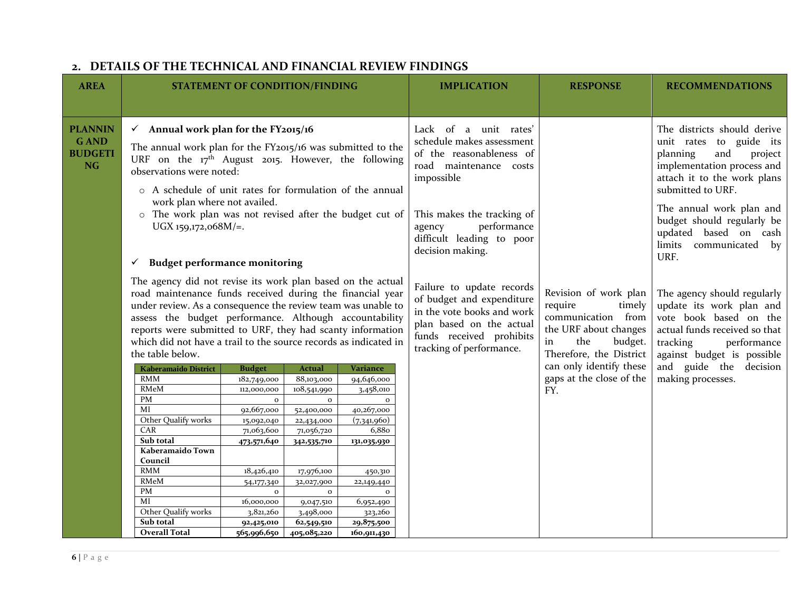<span id="page-5-0"></span>

| <b>AREA</b>                                                  |                                                                                                                                                                                                                                                                                                                                                                                                                                                                                                                                                                                                                                      | <b>STATEMENT OF CONDITION/FINDING</b>                                                                                                                                                                                    |                                                                                                                                                                                                                                                                                                                        |                                                                                                                                                                                    | <b>IMPLICATION</b>                                                                                                                                                                                                                                                                                                                                                                  | <b>RESPONSE</b>                                                                                                                        | <b>RECOMMENDATIONS</b>                                                                                                                |
|--------------------------------------------------------------|--------------------------------------------------------------------------------------------------------------------------------------------------------------------------------------------------------------------------------------------------------------------------------------------------------------------------------------------------------------------------------------------------------------------------------------------------------------------------------------------------------------------------------------------------------------------------------------------------------------------------------------|--------------------------------------------------------------------------------------------------------------------------------------------------------------------------------------------------------------------------|------------------------------------------------------------------------------------------------------------------------------------------------------------------------------------------------------------------------------------------------------------------------------------------------------------------------|------------------------------------------------------------------------------------------------------------------------------------------------------------------------------------|-------------------------------------------------------------------------------------------------------------------------------------------------------------------------------------------------------------------------------------------------------------------------------------------------------------------------------------------------------------------------------------|----------------------------------------------------------------------------------------------------------------------------------------|---------------------------------------------------------------------------------------------------------------------------------------|
| <b>PLANNIN</b><br><b>GAND</b><br><b>BUDGETI</b><br><b>NG</b> | $\checkmark$ Annual work plan for the FY2015/16<br>The annual work plan for the FY2015/16 was submitted to the<br>URF on the 17 <sup>th</sup> August 2015. However, the following<br>observations were noted:<br>o A schedule of unit rates for formulation of the annual<br>work plan where not availed.<br>o The work plan was not revised after the budget cut of<br>UGX 159,172,068M/=.<br><b>Budget performance monitoring</b><br>✓<br>The agency did not revise its work plan based on the actual<br>road maintenance funds received during the financial year<br>under review. As a consequence the review team was unable to |                                                                                                                                                                                                                          | Lack of a unit rates'<br>schedule makes assessment<br>of the reasonableness of<br>road maintenance costs<br>impossible<br>This makes the tracking of<br>performance<br>agency<br>difficult leading to poor<br>decision making.<br>Failure to update records<br>of budget and expenditure<br>in the vote books and work | Revision of work plan<br>require<br>timely<br>communication from                                                                                                                   | The districts should derive<br>unit rates to guide its<br>planning<br>and<br>project<br>implementation process and<br>attach it to the work plans<br>submitted to URF.<br>The annual work plan and<br>budget should regularly be<br>updated based on cash<br>communicated by<br>limits<br>URF.<br>The agency should regularly<br>update its work plan and<br>vote book based on the |                                                                                                                                        |                                                                                                                                       |
|                                                              | assess the budget performance. Although accountability<br>reports were submitted to URF, they had scanty information<br>which did not have a trail to the source records as indicated in<br>the table below.<br><b>Kaberamaido District</b><br><b>RMM</b><br><b>RMeM</b><br>PM<br>MI<br>Other Qualify works<br>CAR<br>Sub total<br>Kaberamaido Town<br>Council<br><b>RMM</b><br><b>RMeM</b><br>PM<br>MI<br>Other Qualify works<br>Sub total<br><b>Overall Total</b>                                                                                                                                                                  | <b>Budget</b><br>182,749,000<br>112,000,000<br>$\mathbf{o}$<br>92,667,000<br>15,092,040<br>71,063,600<br>473,571,640<br>18,426,410<br>54,177,340<br>$\mathbf{o}$<br>16,000,000<br>3,821,260<br>92,425,010<br>565,996,650 | <b>Actual</b><br>88,103,000<br>108,541,990<br>$\mathbf{o}$<br>52,400,000<br>22,434,000<br>71,056,720<br>342,535,710<br>17,976,100<br>32,027,900<br>$\mathbf{o}$<br>9,047,510<br>3,498,000<br>62,549,510<br>405,085,220                                                                                                 | Variance<br>94,646,000<br>3,458,010<br>$\Omega$<br>40,267,000<br>(7,341,960)<br>6,880<br>131,035,930<br>450,310<br>22,149,440<br>6,952,490<br>323,260<br>29,875,500<br>160,911,430 | plan based on the actual<br>funds received prohibits<br>tracking of performance.                                                                                                                                                                                                                                                                                                    | the URF about changes<br>in<br>the<br>budget.<br>Therefore, the District<br>can only identify these<br>gaps at the close of the<br>FY. | actual funds received so that<br>tracking<br>performance<br>against budget is possible<br>and guide the decision<br>making processes. |

# **2. DETAILS OF THE TECHNICAL AND FINANCIAL REVIEW FINDINGS**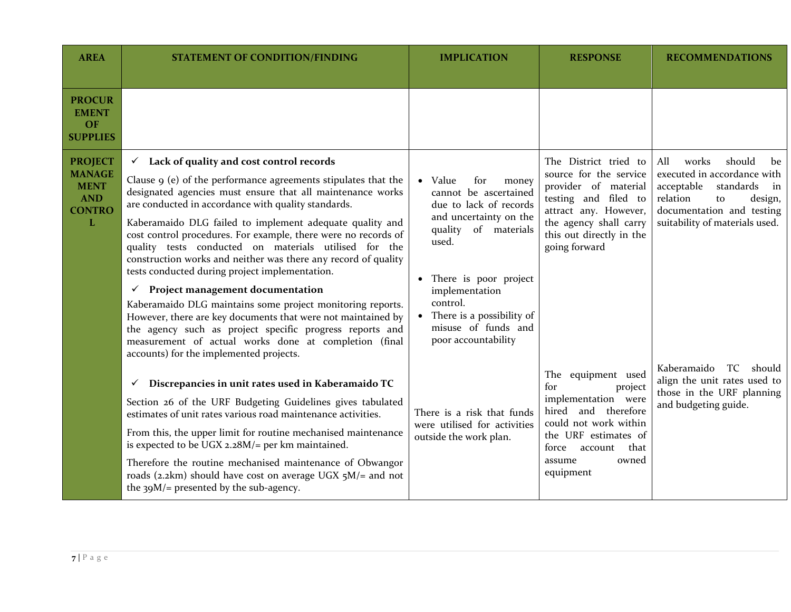| <b>AREA</b>                                                                        | <b>STATEMENT OF CONDITION/FINDING</b>                                                                                                                                                                                                                                                                                                                                                                                                                                                                                                                                                                                                                                                                                                                                                                                                                                                            | <b>IMPLICATION</b>                                                                                                                                                                                                                                                          | <b>RESPONSE</b>                                                                                                                                                                                 | <b>RECOMMENDATIONS</b>                                                                                                                                                                              |
|------------------------------------------------------------------------------------|--------------------------------------------------------------------------------------------------------------------------------------------------------------------------------------------------------------------------------------------------------------------------------------------------------------------------------------------------------------------------------------------------------------------------------------------------------------------------------------------------------------------------------------------------------------------------------------------------------------------------------------------------------------------------------------------------------------------------------------------------------------------------------------------------------------------------------------------------------------------------------------------------|-----------------------------------------------------------------------------------------------------------------------------------------------------------------------------------------------------------------------------------------------------------------------------|-------------------------------------------------------------------------------------------------------------------------------------------------------------------------------------------------|-----------------------------------------------------------------------------------------------------------------------------------------------------------------------------------------------------|
| <b>PROCUR</b><br><b>EMENT</b><br>OF<br><b>SUPPLIES</b>                             |                                                                                                                                                                                                                                                                                                                                                                                                                                                                                                                                                                                                                                                                                                                                                                                                                                                                                                  |                                                                                                                                                                                                                                                                             |                                                                                                                                                                                                 |                                                                                                                                                                                                     |
| <b>PROJECT</b><br><b>MANAGE</b><br><b>MENT</b><br><b>AND</b><br><b>CONTRO</b><br>L | $\checkmark$ Lack of quality and cost control records<br>Clause $9$ (e) of the performance agreements stipulates that the<br>designated agencies must ensure that all maintenance works<br>are conducted in accordance with quality standards.<br>Kaberamaido DLG failed to implement adequate quality and<br>cost control procedures. For example, there were no records of<br>quality tests conducted on materials utilised for the<br>construction works and neither was there any record of quality<br>tests conducted during project implementation.<br>Project management documentation<br>✓<br>Kaberamaido DLG maintains some project monitoring reports.<br>However, there are key documents that were not maintained by<br>the agency such as project specific progress reports and<br>measurement of actual works done at completion (final<br>accounts) for the implemented projects. | • Value<br>for<br>money<br>cannot be ascertained<br>due to lack of records<br>and uncertainty on the<br>quality of materials<br>used.<br>• There is poor project<br>implementation<br>control.<br>• There is a possibility of<br>misuse of funds and<br>poor accountability | The District tried to<br>source for the service<br>provider of material<br>testing and filed to<br>attract any. However,<br>the agency shall carry<br>this out directly in the<br>going forward | All<br>works<br>should<br>be<br>executed in accordance with<br>acceptable<br>standards<br>$\mathbf{in}$<br>relation<br>design,<br>to<br>documentation and testing<br>suitability of materials used. |
|                                                                                    | Discrepancies in unit rates used in Kaberamaido TC<br>$\checkmark$<br>Section 26 of the URF Budgeting Guidelines gives tabulated<br>estimates of unit rates various road maintenance activities.<br>From this, the upper limit for routine mechanised maintenance<br>is expected to be UGX 2.28M/= per km maintained.<br>Therefore the routine mechanised maintenance of Obwangor<br>roads (2.2km) should have cost on average UGX $5M$ = and not<br>the $39M$ /= presented by the sub-agency.                                                                                                                                                                                                                                                                                                                                                                                                   | There is a risk that funds<br>were utilised for activities<br>outside the work plan.                                                                                                                                                                                        | The equipment used<br>for<br>project<br>implementation were<br>hired and therefore<br>could not work within<br>the URF estimates of<br>force account<br>that<br>owned<br>assume<br>equipment    | Kaberamaido<br>TC should<br>align the unit rates used to<br>those in the URF planning<br>and budgeting guide.                                                                                       |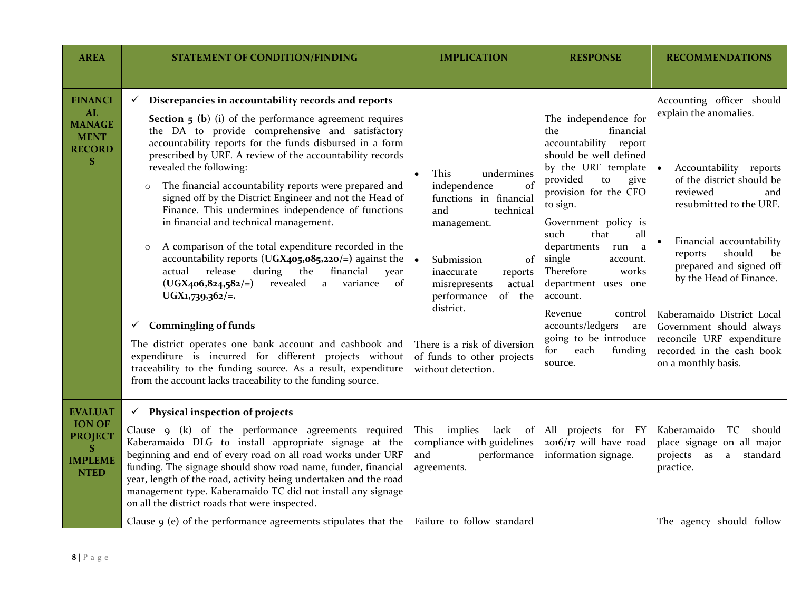| <b>AREA</b>                                                                              | <b>STATEMENT OF CONDITION/FINDING</b>                                                                                                                                                                                                                                                                                                                                                                                                                                                                                                                                                                                                                                                                                                                                                                                                                                                                                                                                                                                                                                                                                                                              | <b>IMPLICATION</b>                                                                                                                                                                                                                                                                                      | <b>RESPONSE</b>                                                                                                                                                                                                                                                                                                                                                                                                                                           | <b>RECOMMENDATIONS</b>                                                                                                                                                                                                                                                                                                                                                                                                        |
|------------------------------------------------------------------------------------------|--------------------------------------------------------------------------------------------------------------------------------------------------------------------------------------------------------------------------------------------------------------------------------------------------------------------------------------------------------------------------------------------------------------------------------------------------------------------------------------------------------------------------------------------------------------------------------------------------------------------------------------------------------------------------------------------------------------------------------------------------------------------------------------------------------------------------------------------------------------------------------------------------------------------------------------------------------------------------------------------------------------------------------------------------------------------------------------------------------------------------------------------------------------------|---------------------------------------------------------------------------------------------------------------------------------------------------------------------------------------------------------------------------------------------------------------------------------------------------------|-----------------------------------------------------------------------------------------------------------------------------------------------------------------------------------------------------------------------------------------------------------------------------------------------------------------------------------------------------------------------------------------------------------------------------------------------------------|-------------------------------------------------------------------------------------------------------------------------------------------------------------------------------------------------------------------------------------------------------------------------------------------------------------------------------------------------------------------------------------------------------------------------------|
| <b>FINANCI</b><br>AL<br><b>MANAGE</b><br><b>MENT</b><br><b>RECORD</b><br>S               | Discrepancies in accountability records and reports<br>$\checkmark$<br><b>Section <math>5</math> (b)</b> (i) of the performance agreement requires<br>the DA to provide comprehensive and satisfactory<br>accountability reports for the funds disbursed in a form<br>prescribed by URF. A review of the accountability records<br>revealed the following:<br>The financial accountability reports were prepared and<br>$\circ$<br>signed off by the District Engineer and not the Head of<br>Finance. This undermines independence of functions<br>in financial and technical management.<br>A comparison of the total expenditure recorded in the<br>$\circ$<br>accountability reports ( $UGX_4o_5,o8_5,o2o/=$ ) against the<br>during<br>actual<br>release<br>the<br>financial<br>year<br>revealed<br>$(UGX406, 824, 582/=)$<br>variance<br>of<br>a<br>$UGX1,739,362/=.$<br><b>Commingling of funds</b><br>✓<br>The district operates one bank account and cashbook and<br>expenditure is incurred for different projects without<br>traceability to the funding source. As a result, expenditure<br>from the account lacks traceability to the funding source. | This<br>undermines<br>of<br>independence<br>functions in financial<br>technical<br>and<br>management.<br>of<br>Submission<br>inaccurate<br>reports<br>misrepresents<br>actual<br>performance<br>of the<br>district.<br>There is a risk of diversion<br>of funds to other projects<br>without detection. | The independence for<br>the<br>financial<br>accountability report<br>should be well defined<br>by the URF template<br>provided<br>give<br>to<br>provision for the CFO<br>to sign.<br>Government policy is<br>such<br>that<br>all<br>departments<br>run<br>a<br>single<br>account.<br>Therefore<br>works<br>department uses one<br>account.<br>Revenue<br>control<br>accounts/ledgers<br>are<br>going to be introduce<br>each<br>for<br>funding<br>source. | Accounting officer should<br>explain the anomalies.<br>Accountability reports<br>of the district should be<br>reviewed<br>and<br>resubmitted to the URF.<br>Financial accountability<br>$\bullet$<br>should<br>reports<br>be<br>prepared and signed off<br>by the Head of Finance.<br>Kaberamaido District Local<br>Government should always<br>reconcile URF expenditure<br>recorded in the cash book<br>on a monthly basis. |
| <b>EVALUAT</b><br><b>ION OF</b><br><b>PROJECT</b><br>S.<br><b>IMPLEME</b><br><b>NTED</b> | $\checkmark$ Physical inspection of projects<br>Clause 9 (k) of the performance agreements required<br>Kaberamaido DLG to install appropriate signage at the<br>beginning and end of every road on all road works under URF<br>funding. The signage should show road name, funder, financial<br>year, length of the road, activity being undertaken and the road<br>management type. Kaberamaido TC did not install any signage<br>on all the district roads that were inspected.<br>Clause $\varphi$ (e) of the performance agreements stipulates that the                                                                                                                                                                                                                                                                                                                                                                                                                                                                                                                                                                                                        | This<br>implies<br>lack of<br>compliance with guidelines<br>and<br>performance<br>agreements.<br>Failure to follow standard                                                                                                                                                                             | All projects for FY<br>$2016/17$ will have road<br>information signage.                                                                                                                                                                                                                                                                                                                                                                                   | Kaberamaido<br>TC should<br>place signage on all major<br>projects as<br>$\mathbf{a}$<br>standard<br>practice.<br>The agency should follow                                                                                                                                                                                                                                                                                    |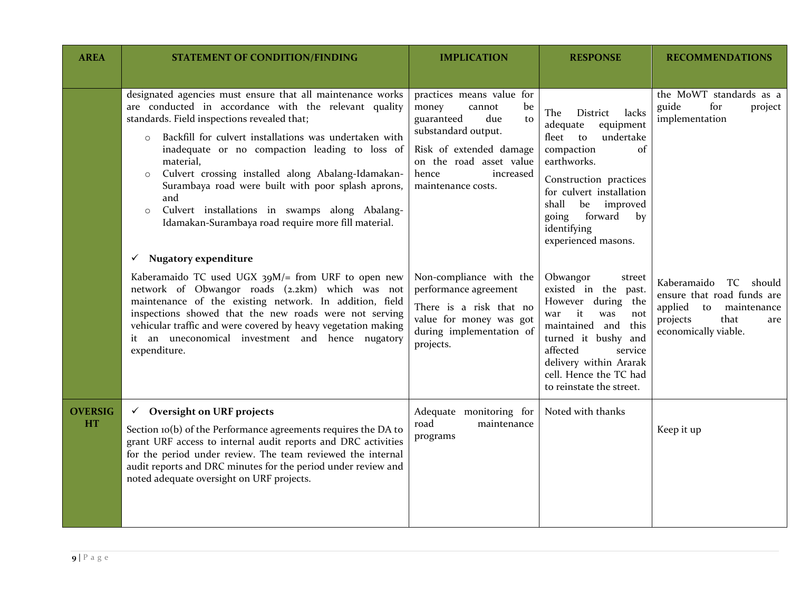| <b>AREA</b>                 | <b>STATEMENT OF CONDITION/FINDING</b>                                                                                                                                                                                                                                                                                                                                                                                                                                                                                                                    | <b>IMPLICATION</b>                                                                                                                                                                                     | <b>RESPONSE</b>                                                                                                                                                                                                                                                         | <b>RECOMMENDATIONS</b>                                                                                                                    |
|-----------------------------|----------------------------------------------------------------------------------------------------------------------------------------------------------------------------------------------------------------------------------------------------------------------------------------------------------------------------------------------------------------------------------------------------------------------------------------------------------------------------------------------------------------------------------------------------------|--------------------------------------------------------------------------------------------------------------------------------------------------------------------------------------------------------|-------------------------------------------------------------------------------------------------------------------------------------------------------------------------------------------------------------------------------------------------------------------------|-------------------------------------------------------------------------------------------------------------------------------------------|
|                             | designated agencies must ensure that all maintenance works<br>are conducted in accordance with the relevant quality<br>standards. Field inspections revealed that;<br>Backfill for culvert installations was undertaken with<br>$\circ$<br>inadequate or no compaction leading to loss of<br>material,<br>Culvert crossing installed along Abalang-Idamakan-<br>$\circ$<br>Surambaya road were built with poor splash aprons,<br>and<br>Culvert installations in swamps along Abalang-<br>$\circ$<br>Idamakan-Surambaya road require more fill material. | practices means value for<br>money<br>cannot<br>be<br>guaranteed<br>due<br>to<br>substandard output.<br>Risk of extended damage<br>on the road asset value<br>hence<br>increased<br>maintenance costs. | The<br>District<br>lacks<br>adequate<br>equipment<br>fleet<br>to<br>undertake<br>compaction<br>$\sigma$<br>earthworks.<br>Construction practices<br>for culvert installation<br>shall<br>be<br>improved<br>forward<br>by<br>going<br>identifying<br>experienced masons. | the MoWT standards as a<br>guide<br>for<br>project<br>implementation                                                                      |
|                             | $\checkmark$ Nugatory expenditure<br>Kaberamaido TC used UGX 39M/= from URF to open new<br>network of Obwangor roads (2.2km) which was not<br>maintenance of the existing network. In addition, field<br>inspections showed that the new roads were not serving<br>vehicular traffic and were covered by heavy vegetation making<br>it an uneconomical investment and hence nugatory<br>expenditure.                                                                                                                                                     | Non-compliance with the<br>performance agreement<br>There is a risk that no<br>value for money was got<br>during implementation of<br>projects.                                                        | Obwangor<br>street<br>existed in the past.<br>However during the<br>it<br>was<br>war<br>not<br>this<br>maintained and<br>turned it bushy and<br>affected<br>service<br>delivery within Ararak<br>cell. Hence the TC had<br>to reinstate the street.                     | Kaberamaido<br>TC should<br>ensure that road funds are<br>applied<br>to<br>maintenance<br>projects<br>that<br>are<br>economically viable. |
| <b>OVERSIG</b><br><b>HT</b> | $\checkmark$ Oversight on URF projects<br>Section 10(b) of the Performance agreements requires the DA to<br>grant URF access to internal audit reports and DRC activities<br>for the period under review. The team reviewed the internal<br>audit reports and DRC minutes for the period under review and<br>noted adequate oversight on URF projects.                                                                                                                                                                                                   | Adequate monitoring for<br>road<br>maintenance<br>programs                                                                                                                                             | Noted with thanks                                                                                                                                                                                                                                                       | Keep it up                                                                                                                                |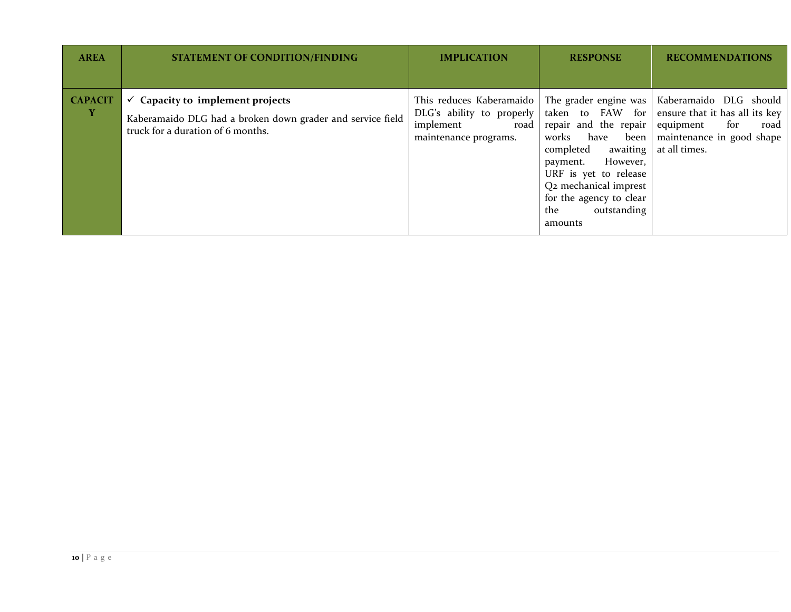| <b>AREA</b>    | <b>STATEMENT OF CONDITION/FINDING</b>                                                                                                          | <b>IMPLICATION</b>                                                                                    | <b>RESPONSE</b>                                                                                                                                                                                                   | <b>RECOMMENDATIONS</b>                                                                                                                                                             |
|----------------|------------------------------------------------------------------------------------------------------------------------------------------------|-------------------------------------------------------------------------------------------------------|-------------------------------------------------------------------------------------------------------------------------------------------------------------------------------------------------------------------|------------------------------------------------------------------------------------------------------------------------------------------------------------------------------------|
|                |                                                                                                                                                |                                                                                                       |                                                                                                                                                                                                                   |                                                                                                                                                                                    |
| <b>CAPACIT</b> | $\checkmark$ Capacity to implement projects<br>Kaberamaido DLG had a broken down grader and service field<br>truck for a duration of 6 months. | This reduces Kaberamaido<br>DLG's ability to properly  <br>implement<br>road<br>maintenance programs. | repair and the repair<br>works<br>have<br>awaiting<br>completed<br>However,<br>payment.<br>URF is yet to release<br>Q <sub>2</sub> mechanical imprest<br>for the agency to clear<br>outstanding<br>the<br>amounts | The grader engine was   Kaberamaido DLG should<br>taken to FAW for ensure that it has all its key<br>equipment<br>for<br>road<br>been   maintenance in good shape<br>at all times. |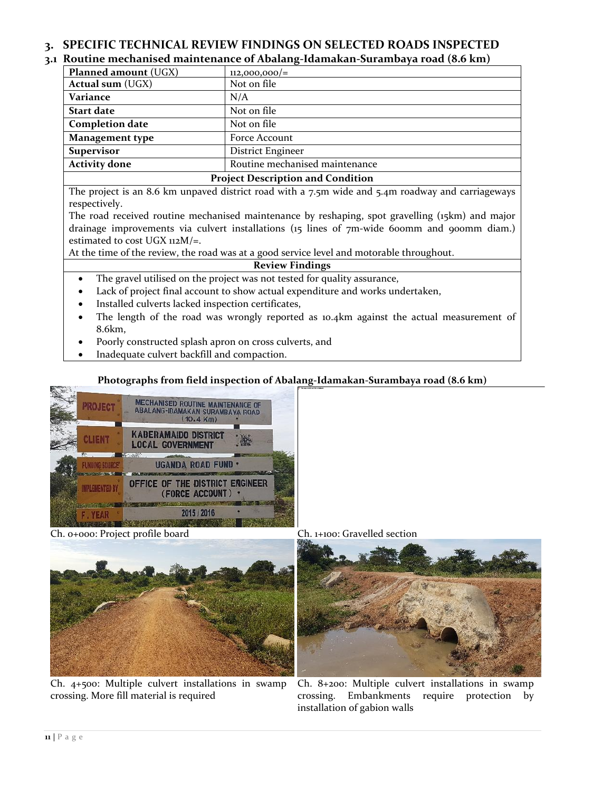# <span id="page-10-0"></span>**3. SPECIFIC TECHNICAL REVIEW FINDINGS ON SELECTED ROADS INSPECTED**

## <span id="page-10-1"></span>**3.1 Routine mechanised maintenance of Abalang-Idamakan-Surambaya road (8.6 km)**

| Planned amount (UGX)                     | $112,000,000/=$                |  |  |  |
|------------------------------------------|--------------------------------|--|--|--|
| <b>Actual sum (UGX)</b>                  | Not on file                    |  |  |  |
| Variance                                 | N/A                            |  |  |  |
| <b>Start date</b>                        | Not on file                    |  |  |  |
| <b>Completion date</b>                   | Not on file                    |  |  |  |
| Management type                          | Force Account                  |  |  |  |
| <b>Supervisor</b>                        | <b>District Engineer</b>       |  |  |  |
| <b>Activity done</b>                     | Routine mechanised maintenance |  |  |  |
| <b>Project Description and Condition</b> |                                |  |  |  |

The project is an 8.6 km unpaved district road with a 7.5m wide and 5.4m roadway and carriageways respectively.

The road received routine mechanised maintenance by reshaping, spot gravelling (15km) and major drainage improvements via culvert installations (15 lines of 7m-wide 600mm and 900mm diam.) estimated to cost UGX 112M/=.

At the time of the review, the road was at a good service level and motorable throughout.

#### **Review Findings**

- The gravel utilised on the project was not tested for quality assurance,
- Lack of project final account to show actual expenditure and works undertaken,
- Installed culverts lacked inspection certificates,
- The length of the road was wrongly reported as 10.4km against the actual measurement of 8.6km,
- Poorly constructed splash apron on cross culverts, and
- Inadequate culvert backfill and compaction.

## **Photographs from field inspection of Abalang-Idamakan-Surambaya road (8.6 km)**



Ch. 0+000: Project profile board Ch. 1+100: Gravelled section



Ch. 4+500: Multiple culvert installations in swamp crossing. More fill material is required



Ch. 8+200: Multiple culvert installations in swamp crossing. Embankments require protection by installation of gabion walls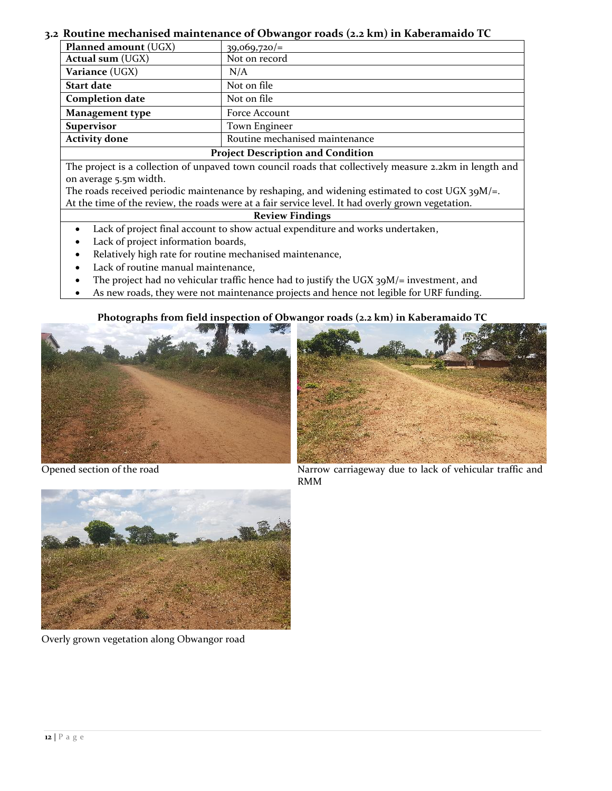## <span id="page-11-0"></span>**3.2 Routine mechanised maintenance of Obwangor roads (2.2 km) in Kaberamaido TC**

| Planned amount (UGX)                     | $39,069,720/=$                 |  |
|------------------------------------------|--------------------------------|--|
| <b>Actual sum (UGX)</b>                  | Not on record                  |  |
| Variance (UGX)                           | N/A                            |  |
| <b>Start date</b>                        | Not on file                    |  |
| <b>Completion date</b>                   | Not on file                    |  |
| <b>Management type</b>                   | Force Account                  |  |
| <b>Supervisor</b>                        | Town Engineer                  |  |
| <b>Activity done</b>                     | Routine mechanised maintenance |  |
| <b>Project Description and Condition</b> |                                |  |

The project is a collection of unpaved town council roads that collectively measure 2.2km in length and on average 5.5m width.

The roads received periodic maintenance by reshaping, and widening estimated to cost UGX  $39M/\text{=}$ . At the time of the review, the roads were at a fair service level. It had overly grown vegetation.

#### **Review Findings**

- Lack of project final account to show actual expenditure and works undertaken,
- Lack of project information boards,
- Relatively high rate for routine mechanised maintenance,
- Lack of routine manual maintenance,
- The project had no vehicular traffic hence had to justify the UGX 39M/= investment, and
- As new roads, they were not maintenance projects and hence not legible for URF funding.

**Photographs from field inspection of Obwangor roads (2.2 km) in Kaberamaido TC**





Opened section of the road Narrow carriageway due to lack of vehicular traffic and RMM



Overly grown vegetation along Obwangor road